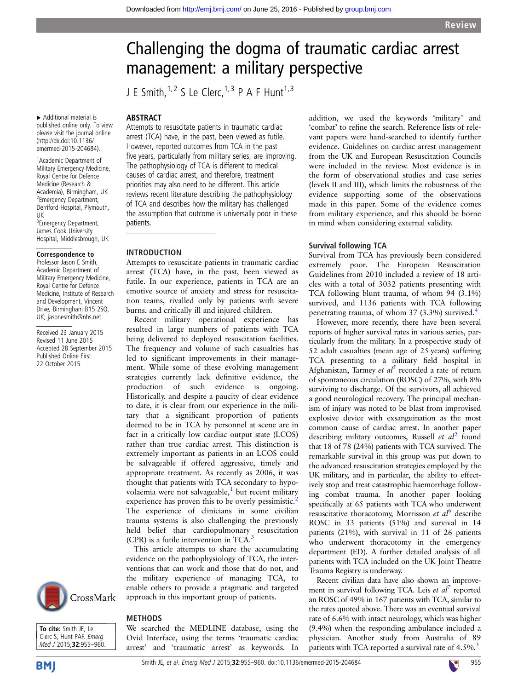# Challenging the dogma of traumatic cardiac arrest management: a military perspective

J E Smith,  $1,2$  S Le Clerc,  $1,3$  P A F Hunt $1,3$ 

▸ Additional material is published online only. To view please visit the journal online [\(http://dx.doi:10.1136/](http://dx.doi:10.1136/emermed-2015-204684) [emermed-2015-204684](http://dx.doi:10.1136/emermed-2015-204684)).

1 Academic Department of Military Emergency Medicine Royal Centre for Defence Medicine (Research & Academia), Birmingham, UK <sup>2</sup> Emergency Department, Derriford Hospital, Plymouth, UK

<sup>3</sup> Emergency Department, James Cook University Hospital, Middlesbrough, UK

#### Correspondence to

Professor Jason E Smith, Academic Department of Military Emergency Medicine, Royal Centre for Defence Medicine, Institute of Research and Development, Vincent Drive, Birmingham B15 2SQ, UK; jasonesmith@nhs.net

Received 23 January 2015 Revised 11 June 2015 Accepted 28 September 2015 Published Online First 22 October 2015



To cite: Smith IF, Le Clerc S, Hunt PAF. Emerg Med J 2015;32:955-960.

**BMI** 

## ABSTRACT

Attempts to resuscitate patients in traumatic cardiac arrest (TCA) have, in the past, been viewed as futile. However, reported outcomes from TCA in the past five years, particularly from military series, are improving. The pathophysiology of TCA is different to medical causes of cardiac arrest, and therefore, treatment priorities may also need to be different. This article reviews recent literature describing the pathophysiology of TCA and describes how the military has challenged the assumption that outcome is universally poor in these patients.

#### INTRODUCTION

Attempts to resuscitate patients in traumatic cardiac arrest (TCA) have, in the past, been viewed as futile. In our experience, patients in TCA are an emotive source of anxiety and stress for resuscitation teams, rivalled only by patients with severe burns, and critically ill and injured children.

Recent military operational experience has resulted in large numbers of patients with TCA being delivered to deployed resuscitation facilities. The frequency and volume of such casualties has led to significant improvements in their management. While some of these evolving management strategies currently lack definitive evidence, the production of such evidence is ongoing. Historically, and despite a paucity of clear evidence to date, it is clear from our experience in the military that a significant proportion of patients deemed to be in TCA by personnel at scene are in fact in a critically low cardiac output state (LCOS) rather than true cardiac arrest. This distinction is extremely important as patients in an LCOS could be salvageable if offered aggressive, timely and appropriate treatment. As recently as 2006, it was thought that patients with TCA secondary to hypovolaemia were not salvageable, $\frac{1}{1}$  $\frac{1}{1}$  $\frac{1}{1}$  but recent military experience has proven this to be overly pessimistic.<sup>[2](#page-4-0)</sup> The experience of clinicians in some civilian trauma systems is also challenging the previously held belief that cardiopulmonary resuscitation (CPR) is a futile intervention in TCA.[3](#page-4-0)

This article attempts to share the accumulating evidence on the pathophysiology of TCA, the interventions that can work and those that do not, and the military experience of managing TCA, to enable others to provide a pragmatic and targeted approach in this important group of patients.

# METHODS

We searched the MEDLINE database, using the Ovid Interface, using the terms 'traumatic cardiac arrest' and 'traumatic arrest' as keywords. In addition, we used the keywords 'military' and 'combat' to refine the search. Reference lists of relevant papers were hand-searched to identify further evidence. Guidelines on cardiac arrest management from the UK and European Resuscitation Councils were included in the review. Most evidence is in the form of observational studies and case series (levels II and III), which limits the robustness of the evidence supporting some of the observations made in this paper. Some of the evidence comes from military experience, and this should be borne in mind when considering external validity.

#### Survival following TCA

Survival from TCA has previously been considered extremely poor. The European Resuscitation Guidelines from 2010 included a review of 18 articles with a total of 3032 patients presenting with TCA following blunt trauma, of whom 94 (3.1%) survived, and 1136 patients with TCA following penetrating trauma, of whom 37 (3.3%) survived.[4](#page-4-0)

However, more recently, there have been several reports of higher survival rates in various series, particularly from the military. In a prospective study of 52 adult casualties (mean age of 25 years) suffering TCA presenting to a military field hospital in Afghanistan, Tarmey *et al*<sup>[5](#page-4-0)</sup> recorded a rate of return of spontaneous circulation (ROSC) of 27%, with 8% surviving to discharge. Of the survivors, all achieved a good neurological recovery. The principal mechanism of injury was noted to be blast from improvised explosive device with exsanguination as the most common cause of cardiac arrest. In another paper describing military outcomes, Russell *et al*<sup>[2](#page-4-0)</sup> found that 18 of 78 (24%) patients with TCA survived. The remarkable survival in this group was put down to the advanced resuscitation strategies employed by the UK military, and in particular, the ability to effectively stop and treat catastrophic haemorrhage following combat trauma. In another paper looking specifically at 65 patients with TCA who underwent resuscitative thoracotomy, Morrisson et  $al^6$  $al^6$  describe ROSC in 33 patients (51%) and survival in 14 patients (21%), with survival in 11 of 26 patients who underwent thoracotomy in the emergency department (ED). A further detailed analysis of all patients with TCA included on the UK Joint Theatre Trauma Registry is underway.

Recent civilian data have also shown an improvement in survival following TCA. Leis et al' reported an ROSC of 49% in 167 patients with TCA, similar to the rates quoted above. There was an eventual survival rate of 6.6% with intact neurology, which was higher (9.4%) when the responding ambulance included a physician. Another study from Australia of 89 patients with TCA reported a survival rate of 4.5%.<sup>3</sup>

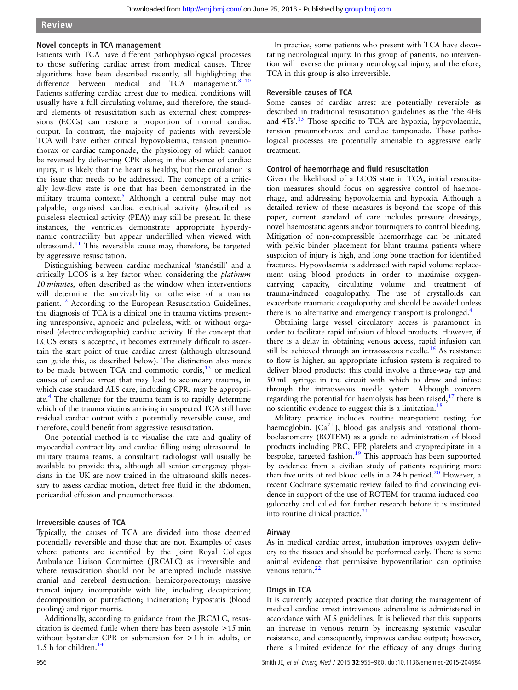# Review

## Novel concepts in TCA management

Patients with TCA have different pathophysiological processes to those suffering cardiac arrest from medical causes. Three algorithms have been described recently, all highlighting the difference between medical and TCA management.<sup>8-[10](#page-4-0)</sup> Patients suffering cardiac arrest due to medical conditions will usually have a full circulating volume, and therefore, the standard elements of resuscitation such as external chest compressions (ECCs) can restore a proportion of normal cardiac output. In contrast, the majority of patients with reversible TCA will have either critical hypovolaemia, tension pneumothorax or cardiac tamponade, the physiology of which cannot be reversed by delivering CPR alone; in the absence of cardiac injury, it is likely that the heart is healthy, but the circulation is the issue that needs to be addressed. The concept of a critically low-flow state is one that has been demonstrated in the military trauma context.<sup>[5](#page-4-0)</sup> Although a central pulse may not palpable, organised cardiac electrical activity (described as pulseless electrical activity (PEA)) may still be present. In these instances, the ventricles demonstrate appropriate hyperdynamic contractility but appear underfilled when viewed with ultrasound.<sup>[11](#page-4-0)</sup> This reversible cause may, therefore, be targeted by aggressive resuscitation.

Distinguishing between cardiac mechanical 'standstill' and a critically LCOS is a key factor when considering the platinum 10 minutes, often described as the window when interventions will determine the survivability or otherwise of a trauma patient.<sup>[12](#page-4-0)</sup> According to the European Resuscitation Guidelines, the diagnosis of TCA is a clinical one in trauma victims presenting unresponsive, apnoeic and pulseless, with or without organised (electrocardiographic) cardiac activity. If the concept that LCOS exists is accepted, it becomes extremely difficult to ascertain the start point of true cardiac arrest (although ultrasound can guide this, as described below). The distinction also needs to be made between TCA and commotio cordis, $13$  or medical causes of cardiac arrest that may lead to secondary trauma, in which case standard ALS care, including CPR, may be appropriate.[4](#page-4-0) The challenge for the trauma team is to rapidly determine which of the trauma victims arriving in suspected TCA still have residual cardiac output with a potentially reversible cause, and therefore, could benefit from aggressive resuscitation.

One potential method is to visualise the rate and quality of myocardial contractility and cardiac filling using ultrasound. In military trauma teams, a consultant radiologist will usually be available to provide this, although all senior emergency physicians in the UK are now trained in the ultrasound skills necessary to assess cardiac motion, detect free fluid in the abdomen, pericardial effusion and pneumothoraces.

# Irreversible causes of TCA

Typically, the causes of TCA are divided into those deemed potentially reversible and those that are not. Examples of cases where patients are identified by the Joint Royal Colleges Ambulance Liaison Committee ( JRCALC) as irreversible and where resuscitation should not be attempted include massive cranial and cerebral destruction; hemicorporectomy; massive truncal injury incompatible with life, including decapitation; decomposition or putrefaction; incineration; hypostatis (blood pooling) and rigor mortis.

Additionally, according to guidance from the JRCALC, resuscitation is deemed futile when there has been asystole >15 min without bystander CPR or submersion for >1 h in adults, or 1.5 h for children.[14](#page-4-0)

In practice, some patients who present with TCA have devastating neurological injury. In this group of patients, no intervention will reverse the primary neurological injury, and therefore, TCA in this group is also irreversible.

# Reversible causes of TCA

Some causes of cardiac arrest are potentially reversible as described in traditional resuscitation guidelines as the 'the 4Hs and 4Ts'.<sup>[15](#page-4-0)</sup> Those specific to TCA are hypoxia, hypovolaemia, tension pneumothorax and cardiac tamponade. These pathological processes are potentially amenable to aggressive early treatment.

# Control of haemorrhage and fluid resuscitation

Given the likelihood of a LCOS state in TCA, initial resuscitation measures should focus on aggressive control of haemorrhage, and addressing hypovolaemia and hypoxia. Although a detailed review of these measures is beyond the scope of this paper, current standard of care includes pressure dressings, novel haemostatic agents and/or tourniquets to control bleeding. Mitigation of non-compressible haemorrhage can be initiated with pelvic binder placement for blunt trauma patients where suspicion of injury is high, and long bone traction for identified fractures. Hypovolaemia is addressed with rapid volume replacement using blood products in order to maximise oxygencarrying capacity, circulating volume and treatment of trauma-induced coagulopathy. The use of crystalloids can exacerbate traumatic coagulopathy and should be avoided unless there is no alternative and emergency transport is prolonged.<sup>[4](#page-4-0)</sup>

Obtaining large vessel circulatory access is paramount in order to facilitate rapid infusion of blood products. However, if there is a delay in obtaining venous access, rapid infusion can still be achieved through an intraosseous needle.<sup>[16](#page-4-0)</sup> As resistance to flow is higher, an appropriate infusion system is required to deliver blood products; this could involve a three-way tap and 50 mL syringe in the circuit with which to draw and infuse through the intraosseous needle system. Although concern regarding the potential for haemolysis has been raised, $17$  there is no scientific evidence to suggest this is a limitation.<sup>[18](#page-4-0)</sup>

Military practice includes routine near-patient testing for haemoglobin,  $[Ca^{2+}]$ , blood gas analysis and rotational thomboelastometry (ROTEM) as a guide to administration of blood products including PRC, FFP, platelets and cryoprecipitate in a bespoke, targeted fashion.<sup>[19](#page-4-0)</sup> This approach has been supported by evidence from a civilian study of patients requiring more than five units of red blood cells in a  $24$  h period.<sup>[20](#page-4-0)</sup> However, a recent Cochrane systematic review failed to find convincing evidence in support of the use of ROTEM for trauma-induced coagulopathy and called for further research before it is instituted into routine clinical practice. $2<sup>1</sup>$ 

# Airway

As in medical cardiac arrest, intubation improves oxygen delivery to the tissues and should be performed early. There is some animal evidence that permissive hypoventilation can optimise venous return.<sup>2</sup>

# Drugs in TCA

It is currently accepted practice that during the management of medical cardiac arrest intravenous adrenaline is administered in accordance with ALS guidelines. It is believed that this supports an increase in venous return by increasing systemic vascular resistance, and consequently, improves cardiac output; however, there is limited evidence for the efficacy of any drugs during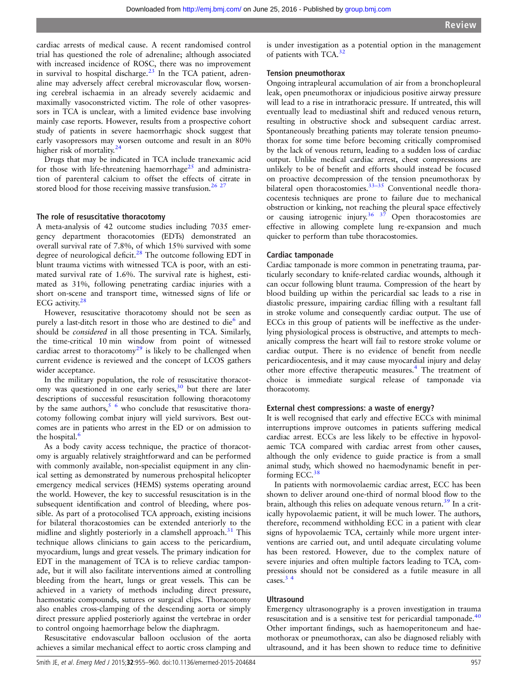cardiac arrests of medical cause. A recent randomised control trial has questioned the role of adrenaline; although associated with increased incidence of ROSC, there was no improvement in survival to hospital discharge. $23$  In the TCA patient, adrenaline may adversely affect cerebral microvascular flow, worsening cerebral ischaemia in an already severely acidaemic and maximally vasoconstricted victim. The role of other vasopressors in TCA is unclear, with a limited evidence base involving mainly case reports. However, results from a prospective cohort study of patients in severe haemorrhagic shock suggest that early vasopressors may worsen outcome and result in an 80% higher risk of mortality.<sup>[24](#page-4-0)</sup>

Drugs that may be indicated in TCA include tranexamic acid for those with life-threatening haemorrhage<sup>[25](#page-4-0)</sup> and administration of parenteral calcium to offset the effects of citrate in stored blood for those receiving massive transfusion.<sup>[26 27](#page-4-0)</sup>

#### The role of resuscitative thoracotomy

A meta-analysis of 42 outcome studies including 7035 emergency department thoracotomies (EDTs) demonstrated an overall survival rate of 7.8%, of which 15% survived with some degree of neurological deficit.<sup>[28](#page-4-0)</sup> The outcome following EDT in blunt trauma victims with witnessed TCA is poor, with an estimated survival rate of 1.6%. The survival rate is highest, estimated as 31%, following penetrating cardiac injuries with a short on-scene and transport time, witnessed signs of life or ECG activity[.28](#page-4-0)

However, resuscitative thoracotomy should not be seen as purely a last-ditch resort in those who are destined to die $<sup>6</sup>$  and</sup> should be considered in all those presenting in TCA. Similarly, the time-critical 10 min window from point of witnessed cardiac arrest to thoracotomy<sup>[29](#page-4-0)</sup> is likely to be challenged when current evidence is reviewed and the concept of LCOS gathers wider acceptance.

In the military population, the role of resuscitative thoracotomy was questioned in one early series, $30$  but there are later descriptions of successful resuscitation following thoracotomy by the same authors,  $5/6$  who conclude that resuscitative thoracotomy following combat injury will yield survivors. Best outcomes are in patients who arrest in the ED or on admission to the hospital. $\frac{6}{5}$ 

As a body cavity access technique, the practice of thoracotomy is arguably relatively straightforward and can be performed with commonly available, non-specialist equipment in any clinical setting as demonstrated by numerous prehospital helicopter emergency medical services (HEMS) systems operating around the world. However, the key to successful resuscitation is in the subsequent identification and control of bleeding, where possible. As part of a protocolised TCA approach, existing incisions for bilateral thoracostomies can be extended anteriorly to the midline and slightly posteriorly in a clamshell approach.<sup>[31](#page-4-0)</sup> This technique allows clinicians to gain access to the pericardium, myocardium, lungs and great vessels. The primary indication for EDT in the management of TCA is to relieve cardiac tamponade, but it will also facilitate interventions aimed at controlling bleeding from the heart, lungs or great vessels. This can be achieved in a variety of methods including direct pressure, haemostatic compounds, sutures or surgical clips. Thoracotomy also enables cross-clamping of the descending aorta or simply direct pressure applied posteriorly against the vertebrae in order to control ongoing haemorrhage below the diaphragm.

Resuscitative endovascular balloon occlusion of the aorta achieves a similar mechanical effect to aortic cross clamping and

is under investigation as a potential option in the management of patients with TCA.[32](#page-4-0)

#### Tension pneumothorax

Ongoing intrapleural accumulation of air from a bronchopleural leak, open pneumothorax or injudicious positive airway pressure will lead to a rise in intrathoracic pressure. If untreated, this will eventually lead to mediastinal shift and reduced venous return, resulting in obstructive shock and subsequent cardiac arrest. Spontaneously breathing patients may tolerate tension pneumothorax for some time before becoming critically compromised by the lack of venous return, leading to a sudden loss of cardiac output. Unlike medical cardiac arrest, chest compressions are unlikely to be of benefit and efforts should instead be focused on proactive decompression of the tension pneumothorax by bilateral open thoracostomies.<sup>33-[35](#page-4-0)</sup> Conventional needle thoracocentesis techniques are prone to failure due to mechanical obstruction or kinking, not reaching the pleural space effectively or causing iatrogenic injury.<sup>36</sup>  $3^{\frac{3}{7}}$  Open thoracostomies are effective in allowing complete lung re-expansion and much quicker to perform than tube thoracostomies.

#### Cardiac tamponade

Cardiac tamponade is more common in penetrating trauma, particularly secondary to knife-related cardiac wounds, although it can occur following blunt trauma. Compression of the heart by blood building up within the pericardial sac leads to a rise in diastolic pressure, impairing cardiac filling with a resultant fall in stroke volume and consequently cardiac output. The use of ECCs in this group of patients will be ineffective as the underlying physiological process is obstructive, and attempts to mechanically compress the heart will fail to restore stroke volume or cardiac output. There is no evidence of benefit from needle pericardiocentesis, and it may cause myocardial injury and delay other more effective therapeutic measures.<sup>4</sup> The treatment of choice is immediate surgical release of tamponade via thoracotomy.

#### External chest compressions: a waste of energy?

It is well recognised that early and effective ECCs with minimal interruptions improve outcomes in patients suffering medical cardiac arrest. ECCs are less likely to be effective in hypovolaemic TCA compared with cardiac arrest from other causes, although the only evidence to guide practice is from a small animal study, which showed no haemodynamic benefit in performing ECC. $38$ 

In patients with normovolaemic cardiac arrest, ECC has been shown to deliver around one-third of normal blood flow to the brain, although this relies on adequate venous return.<sup>39</sup> In a critically hypovolaemic patient, it will be much lower. The authors, therefore, recommend withholding ECC in a patient with clear signs of hypovolaemic TCA, certainly while more urgent interventions are carried out, and until adequate circulating volume has been restored. However, due to the complex nature of severe injuries and often multiple factors leading to TCA, compressions should not be considered as a futile measure in all cases.<sup>34</sup>

#### **Ultrasound**

Emergency ultrasonography is a proven investigation in trauma resuscitation and is a sensitive test for pericardial tamponade.<sup>[40](#page-4-0)</sup> Other important findings, such as haemoperitoneum and haemothorax or pneumothorax, can also be diagnosed reliably with ultrasound, and it has been shown to reduce time to definitive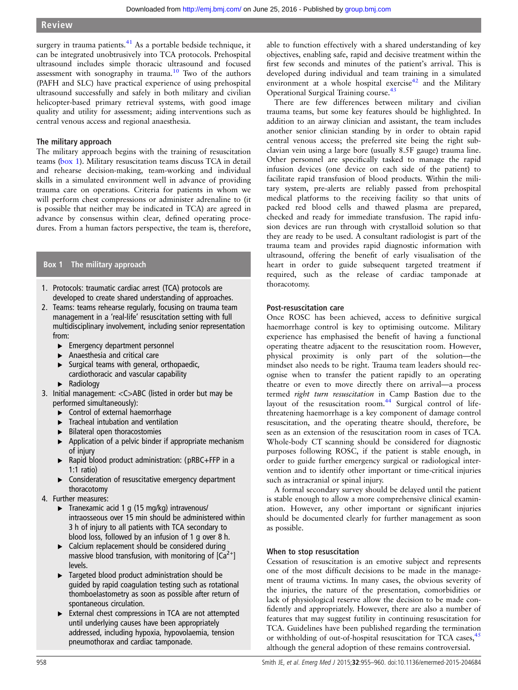surgery in trauma patients. $41$  As a portable bedside technique, it can be integrated unobtrusively into TCA protocols. Prehospital ultrasound includes simple thoracic ultrasound and focused assessment with sonography in trauma.<sup>[10](#page-4-0)</sup> Two of the authors (PAFH and SLC) have practical experience of using prehospital ultrasound successfully and safely in both military and civilian helicopter-based primary retrieval systems, with good image quality and utility for assessment; aiding interventions such as central venous access and regional anaesthesia.

# The military approach

The military approach begins with the training of resuscitation teams (box 1). Military resuscitation teams discuss TCA in detail and rehearse decision-making, team-working and individual skills in a simulated environment well in advance of providing trauma care on operations. Criteria for patients in whom we will perform chest compressions or administer adrenaline to (it is possible that neither may be indicated in TCA) are agreed in advance by consensus within clear, defined operating procedures. From a human factors perspective, the team is, therefore,

# Box 1 The military approach

- 1. Protocols: traumatic cardiac arrest (TCA) protocols are developed to create shared understanding of approaches.
- 2. Teams: teams rehearse regularly, focusing on trauma team management in a 'real-life' resuscitation setting with full multidisciplinary involvement, including senior representation from:
	- ▸ Emergency department personnel
	- ▸ Anaesthesia and critical care
	- $\blacktriangleright$  Surgical teams with general, orthopaedic,
	- cardiothoracic and vascular capability
	- ▸ Radiology
- 3. Initial management: <C>ABC (listed in order but may be performed simultaneously):
	- ▸ Control of external haemorrhage
	- ▸ Tracheal intubation and ventilation
	- ▸ Bilateral open thoracostomies
	- ▶ Application of a pelvic binder if appropriate mechanism of injury
	- ▸ Rapid blood product administration: (pRBC+FFP in a 1:1 ratio)
	- ▸ Consideration of resuscitative emergency department thoracotomy
- 4. Further measures:
	- $\triangleright$  Tranexamic acid 1 g (15 mg/kg) intravenous/ intraosseous over 15 min should be administered within 3 h of injury to all patients with TCA secondary to blood loss, followed by an infusion of 1 g over 8 h.
	- ▶ Calcium replacement should be considered during massive blood transfusion, with monitoring of  $[Ca<sup>2+</sup>]$ levels.
	- ▸ Targeted blood product administration should be guided by rapid coagulation testing such as rotational thomboelastometry as soon as possible after return of spontaneous circulation.
	- ▸ External chest compressions in TCA are not attempted until underlying causes have been appropriately addressed, including hypoxia, hypovolaemia, tension pneumothorax and cardiac tamponade.

able to function effectively with a shared understanding of key objectives, enabling safe, rapid and decisive treatment within the first few seconds and minutes of the patient's arrival. This is developed during individual and team training in a simulated environment at a whole hospital exercise $42$  and the Military Operational Surgical Training course.[43](#page-5-0)

There are few differences between military and civilian trauma teams, but some key features should be highlighted. In addition to an airway clinician and assistant, the team includes another senior clinician standing by in order to obtain rapid central venous access; the preferred site being the right subclavian vein using a large bore (usually 8.5F gauge) trauma line. Other personnel are specifically tasked to manage the rapid infusion devices (one device on each side of the patient) to facilitate rapid transfusion of blood products. Within the military system, pre-alerts are reliably passed from prehospital medical platforms to the receiving facility so that units of packed red blood cells and thawed plasma are prepared, checked and ready for immediate transfusion. The rapid infusion devices are run through with crystalloid solution so that they are ready to be used. A consultant radiologist is part of the trauma team and provides rapid diagnostic information with ultrasound, offering the benefit of early visualisation of the heart in order to guide subsequent targeted treatment if required, such as the release of cardiac tamponade at thoracotomy.

# Post-resuscitation care

Once ROSC has been achieved, access to definitive surgical haemorrhage control is key to optimising outcome. Military experience has emphasised the benefit of having a functional operating theatre adjacent to the resuscitation room. However, physical proximity is only part of the solution—the mindset also needs to be right. Trauma team leaders should recognise when to transfer the patient rapidly to an operating theatre or even to move directly there on arrival—a process termed right turn resuscitation in Camp Bastion due to the layout of the resuscitation room.<sup>[44](#page-5-0)</sup> Surgical control of lifethreatening haemorrhage is a key component of damage control resuscitation, and the operating theatre should, therefore, be seen as an extension of the resuscitation room in cases of TCA. Whole-body CT scanning should be considered for diagnostic purposes following ROSC, if the patient is stable enough, in order to guide further emergency surgical or radiological intervention and to identify other important or time-critical injuries such as intracranial or spinal injury.

A formal secondary survey should be delayed until the patient is stable enough to allow a more comprehensive clinical examination. However, any other important or significant injuries should be documented clearly for further management as soon as possible.

# When to stop resuscitation

Cessation of resuscitation is an emotive subject and represents one of the most difficult decisions to be made in the management of trauma victims. In many cases, the obvious severity of the injuries, the nature of the presentation, comorbidities or lack of physiological reserve allow the decision to be made confidently and appropriately. However, there are also a number of features that may suggest futility in continuing resuscitation for TCA. Guidelines have been published regarding the termination or withholding of out-of-hospital resuscitation for TCA cases, <sup>[45](#page-5-0)</sup> although the general adoption of these remains controversial.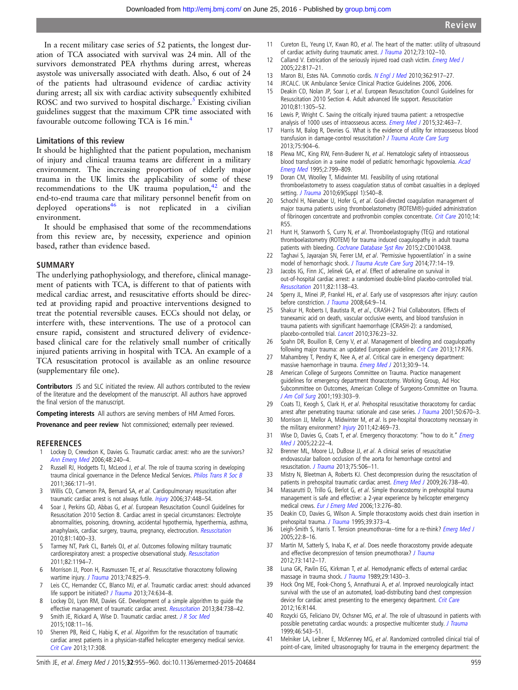<span id="page-4-0"></span>In a recent military case series of 52 patients, the longest duration of TCA associated with survival was 24 min. All of the survivors demonstrated PEA rhythms during arrest, whereas asystole was universally associated with death. Also, 6 out of 24 of the patients had ultrasound evidence of cardiac activity during arrest; all six with cardiac activity subsequently exhibited ROSC and two survived to hospital discharge.<sup>5</sup> Existing civilian guidelines suggest that the maximum CPR time associated with favourable outcome following TCA is 16 min.<sup>4</sup>

#### Limitations of this review

It should be highlighted that the patient population, mechanism of injury and clinical trauma teams are different in a military environment. The increasing proportion of elderly major trauma in the UK limits the applicability of some of these recommendations to the UK trauma population, $42$  and the end-to-end trauma care that military personnel benefit from on deployed operations<sup>[46](#page-5-0)</sup> is not replicated in a civilian environment.

It should be emphasised that some of the recommendations from this review are, by necessity, experience and opinion based, rather than evidence based.

#### **SUMMARY**

The underlying pathophysiology, and therefore, clinical management of patients with TCA, is different to that of patients with medical cardiac arrest, and resuscitative efforts should be directed at providing rapid and proactive interventions designed to treat the potential reversible causes. ECCs should not delay, or interfere with, these interventions. The use of a protocol can ensure rapid, consistent and structured delivery of evidencebased clinical care for the relatively small number of critically injured patients arriving in hospital with TCA. An example of a TCA resuscitation protocol is available as an online resource (supplementary file one).

Contributors JS and SLC initiated the review. All authors contributed to the review of the literature and the development of the manuscript. All authors have approved the final version of the manuscript.

Competing interests All authors are serving members of HM Armed Forces.

Provenance and peer review Not commissioned; externally peer reviewed.

#### **REFERENCES**

- 1 Lockey D, Crewdson K, Davies G. Traumatic cardiac arrest: who are the survivors? [Ann Emerg Med](http://dx.doi.org/10.1016/j.annemergmed.2006.03.015) 2006;48:240–4.
- 2 Russell RJ, Hodgetts TJ, McLeod J, et al. The role of trauma scoring in developing trauma clinical governance in the Defence Medical Services. [Philos Trans R Soc B](http://dx.doi.org/10.1098/rstb.2010.0232) 2011;366:171–91.
- 3 Willis CD, Cameron PA, Bernard SA, et al. Cardiopulmonary resuscitation after traumatic cardiac arrest is not always futile. [Injury](http://dx.doi.org/10.1016/j.injury.2005.11.011) 2006;37:448-54.
- 4 Soar J, Perkins GD, Abbas G, et al. European Resuscitation Council Guidelines for Resuscitation 2010 Section 8. Cardiac arrest in special circumstances: Electrolyte abnormalities, poisoning, drowning, accidental hypothermia, hyperthermia, asthma, anaphylaxis, cardiac surgery, trauma, pregnancy, electrocution. [Resuscitation](http://dx.doi.org/10.1016/j.resuscitation.2010.08.015) 2010;81:1400–33.
- 5 Tarmey NT, Park CL, Bartels OJ, et al. Outcomes following military traumatic cardiorespiratory arrest: a prospective observational study. [Resuscitation](http://dx.doi.org/10.1016/j.resuscitation.2011.04.018) 2011;82:1194–7.
- 6 Morrison JJ, Poon H, Rasmussen TE, et al. Resuscitative thoracotomy following wartime injury. [J Trauma](http://dx.doi.org/10.1097/TA.0b013e31827e1d26) 2013;74:825-9.
- Leis CC, Hernandez CC, Blanco MJ, et al. Traumatic cardiac arrest: should advanced life support be initiated? [J Trauma](http://dx.doi.org/10.1097/TA.0b013e31827d5d3c) 2013;74:634-8.
- 8 Lockey DJ, Lyon RM, Davies GE. Development of a simple algorithm to guide the effective management of traumatic cardiac arrest. [Resuscitation](http://dx.doi.org/10.1016/j.resuscitation.2012.12.003) 2013;84:738-42.
- 9 Smith JE, Rickard A, Wise D. Traumatic cardiac arrest. [J R Soc Med](http://dx.doi.org/10.1177/0141076814560837) 2015;108:11–16.
- 10 Sherren PB, Reid C, Habig K, et al. Algorithm for the resuscitation of traumatic cardiac arrest patients in a physician-staffed helicopter emergency medical service. [Crit Care](http://dx.doi.org/10.1186/cc12504) 2013;17:308.
- 11 Cureton EL, Yeung LY, Kwan RO, et al. The heart of the matter: utility of ultrasound of cardiac activity during traumatic arrest. [J Trauma](http://dx.doi.org/10.1097/TA.0b013e3182569ebc) 2012;73:102-10.
- 12 Calland V. Extrication of the seriously injured road crash victim. *[Emerg Med J](http://dx.doi.org/10.1136/emj.2004.022616)* 2005;22:817–21.
- 13 Maron BJ, Estes NA. Commotio cordis. [N Engl J Med](http://dx.doi.org/10.1056/NEJMra0910111) 2010;362:917-27.
- 14 JRCALC. UK Ambulance Service Clinical Practice Guidelines 2006, 2006.
- 15 Deakin CD, Nolan JP, Soar J, et al. European Resuscitation Council Guidelines for Resuscitation 2010 Section 4. Adult advanced life support. Resuscitation 2010;81:1305–52.
- 16 Lewis P, Wright C. Saving the critically injured trauma patient: a retrospective analysis of 1000 uses of intraosseous access. *[Emerg Med J](http://dx.doi.org/10.1136/emermed-2014-203588)* 2015:32:463-7.
- 17 Harris M, Balog R, Devries G. What is the evidence of utility for intraosseous blood transfusion in damage-control resuscitation? [J Trauma Acute Care Surg](http://dx.doi.org/10.1097/TA.0b013e3182a85f71) 2013;75:904–6.
- 18 Plewa MC, King RW, Fenn-Buderer N, et al. Hematologic safety of intraosseous blood transfusion in a swine model of pediatric hemorrhagic hypovolemia. [Acad](http://dx.doi.org/10.1111/j.1553-2712.1995.tb03275.x) [Emerg Med](http://dx.doi.org/10.1111/j.1553-2712.1995.tb03275.x) 1995;2:799–809.
- 19 Doran CM, Woolley T, Midwinter MJ. Feasibility of using rotational thromboelastometry to assess coagulation status of combat casualties in a deployed setting. [J Trauma](http://dx.doi.org/10.1097/TA.0b013e3181e4257b) 2010;69(Suppl 1):S40-8.
- 20 Schochl H, Nienaber U, Hofer G, et al. Goal-directed coagulation management of major trauma patients using thromboelastometry (ROTEM®)-guided administration of fibrinogen concentrate and prothrombin complex concentrate. [Crit Care](http://dx.doi.org/10.1186/cc8948) 2010;14: R55.
- 21 Hunt H, Stanworth S, Curry N, et al. Thromboelastography (TEG) and rotational thromboelastometry (ROTEM) for trauma induced coagulopathy in adult trauma patients with bleeding. [Cochrane Database Syst Rev](http://dx.doi.org/10.1002/14651858.CD010438.pub2) 2015;2:CD010438.
- 22 Taghavi S, Jayarajan SN, Ferrer LM, et al. 'Permissive hypoventilation' in a swine model of hemorrhagic shock. [J Trauma Acute Care Surg](http://dx.doi.org/10.1097/TA.0000000000000278) 2014;77:14–19.
- 23 Jacobs IG, Finn JC, Jelinek GA, et al. Effect of adrenaline on survival in out-of-hospital cardiac arrest: a randomised double-blind placebo-controlled trial. [Resuscitation](http://dx.doi.org/10.1016/j.resuscitation.2011.06.029) 2011;82:1138–43.
- 24 Sperry JL, Minei JP, Frankel HL, et al. Early use of vasopressors after injury: caution before constriction. [J Trauma](http://dx.doi.org/10.1097/TA.0b013e31815dd029) 2008;64:9-14.
- 25 Shakur H, Roberts I, Bautista R, et al., CRASH-2 Trial Collaborators. Effects of tranexamic acid on death, vascular occlusive events, and blood transfusion in trauma patients with significant haemorrhage (CRASH-2): a randomised, placebo-controlled trial. [Lancet](http://dx.doi.org/10.1016/S0140-6736(10)60835-5) 2010;376:23–32.
- 26 Spahn DR, Bouillon B, Cerny V, et al. Management of bleeding and coagulopathy following major trauma: an updated European quideline. [Crit Care](http://dx.doi.org/10.1186/cc12685) 2013;17:R76.
- 27 Mahambrey T, Pendry K, Nee A, et al. Critical care in emergency department: massive haemorrhage in trauma. [Emerg Med J](http://dx.doi.org/10.1136/emermed-2011-201061) 2013;30:9-14.
- 28 American College of Surgeons Committee on Trauma. Practice management guidelines for emergency department thoracotomy. Working Group, Ad Hoc Subcommittee on Outcomes, American College of Surgeons-Committee on Trauma. [J Am Coll Surg](http://dx.doi.org/10.1016/S1072-7515(01)00999-1) 2001;193:303–9.
- 29 Coats TJ, Keogh S, Clark H, et al. Prehospital resuscitative thoracotomy for cardiac arrest after penetrating trauma: rationale and case series. [J Trauma](http://dx.doi.org/10.1097/00005373-200104000-00012) 2001;50:670–3.
- 30 Morrison JJ, Mellor A, Midwinter M, et al. Is pre-hospital thoracotomy necessary in the military environment? [Injury](http://dx.doi.org/10.1016/j.injury.2010.03.009) 2011;42:469-73.
- 31 Wise D, Davies G, Coats T, et al. [Emerg](http://dx.doi.org/10.1136/emj.2003.012963)ency thoracotomy: "how to do it." Emerg [Med J](http://dx.doi.org/10.1136/emj.2003.012963) 2005;22:22–4.
- 32 Brenner ML, Moore LJ, DuBose JJ, et al. A clinical series of resuscitative endovascular balloon occlusion of the aorta for hemorrhage control and resuscitation. [J Trauma](http://dx.doi.org/10.1097/TA.0b013e31829e5416) 2013;75:506-11.
- 33 Mistry N, Bleetman A, Roberts KJ. Chest decompression during the resuscitation of patients in prehospital traumatic cardiac arrest. [Emerg Med J](http://dx.doi.org/10.1136/emj.2008.065599) 2009;26:738-40.
- 34 Massarutti D, Trillo G, Berlot G, et al. Simple thoracostomy in prehospital trauma management is safe and effective: a 2-year experience by helicopter emergency medical crews. [Eur J Emerg Med](http://dx.doi.org/10.1097/00063110-200610000-00006) 2006;13:276–80.
- 35 Deakin CD, Davies G, Wilson A. Simple thoracostomy avoids chest drain insertion in prehospital trauma. [J Trauma](http://dx.doi.org/10.1097/00005373-199508000-00031) 1995;39:373-4.
- 36 Leigh-Smith S, Harris T. Tension pneumothorax--time for a re-think? [Emerg Med J](http://dx.doi.org/10.1136/emj.2003.010421) 2005;22:8–16.
- 37 Martin M, Satterly S, Inaba K, et al. Does needle thoracostomy provide adequate and effective decompression of tension pneumothorax? [J Trauma](http://dx.doi.org/10.1097/TA.0b013e31825ac511) 2012;73:1412–17.
- 38 Luna GK, Pavlin EG, Kirkman T, et al. Hemodynamic effects of external cardiac massage in trauma shock. [J Trauma](http://dx.doi.org/10.1097/00005373-198910000-00022) 1989;29:1430-3.
- 39 Hock Ong ME, Fook-Chong S, Annathurai A, et al. Improved neurologically intact survival with the use of an automated, load-distributing band chest compression device for cardiac arrest presenting to the emergency department. [Crit Care](http://dx.doi.org/10.1186/cc11456) 2012;16:R144.
- 40 Rozycki GS, Feliciano DV, Ochsner MG, et al. The role of ultrasound in patients with possible penetrating cardiac wounds: a prospective multicenter study. [J Trauma](http://dx.doi.org/10.1097/00005373-199904000-00002) 1999;46:543–51.
- 41 Melniker LA, Leibner E, McKenney MG, et al. Randomized controlled clinical trial of point-of-care, limited ultrasonography for trauma in the emergency department: the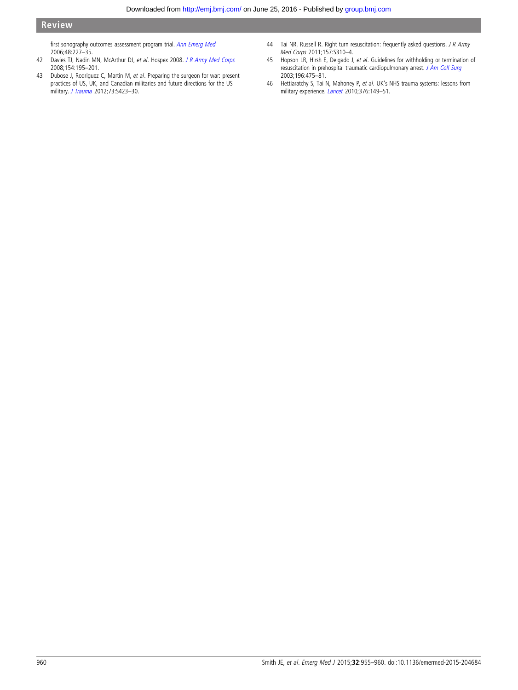<span id="page-5-0"></span>first sonography outcomes assessment program trial. [Ann Emerg Med](http://dx.doi.org/10.1016/j.annemergmed.2006.01.008) 2006;48:227–35.

- 42 Davies TJ, Nadin MN, McArthur DJ, et al. Hospex 2008. [J R Army Med Corps](http://dx.doi.org/10.1136/jramc-154-03-17) 2008;154:195–201.
- 43 Dubose J, Rodriguez C, Martin M, et al. Preparing the surgeon for war: present practices of US, UK, and Canadian militaries and future directions for the US military. [J Trauma](http://dx.doi.org/10.1097/TA.0b013e3182754636) 2012;73:S423–30.
- 44 Tai NR, Russell R. Right turn resuscitation: frequently asked questions. J R Army Med Corps 2011;157:S310–4.
- 45 Hopson LR, Hirsh E, Delgado J, et al. Guidelines for withholding or termination of resuscitation in prehospital traumatic cardiopulmonary arrest. [J Am Coll Surg](http://dx.doi.org/10.1016/S1072-7515(03)00229-1) 2003;196:475–81.
- 46 Hettiaratchy S, Tai N, Mahoney P, et al. UK's NHS trauma systems: lessons from military experience. [Lancet](http://dx.doi.org/10.1016/S0140-6736(10)60622-8) 2010;376:149-51.